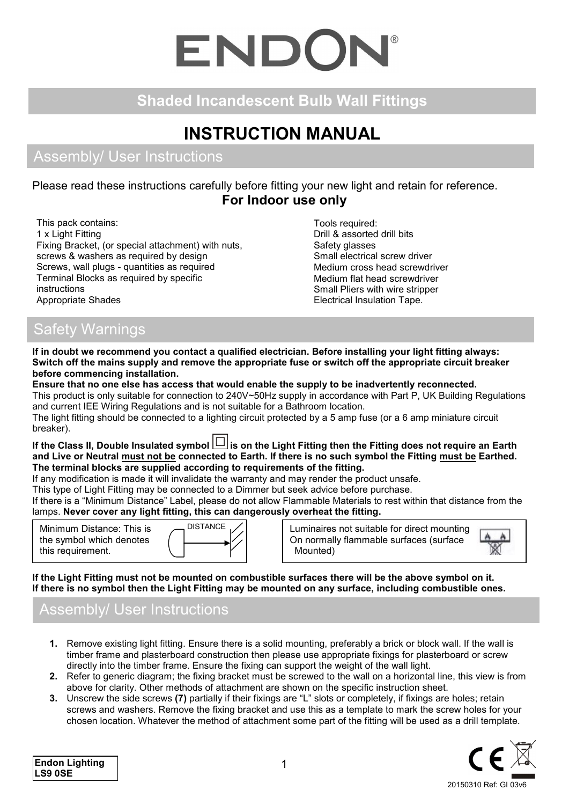# ENDOI

## **Shaded Incandescent Bulb Wall Fittings**

## **INSTRUCTION MANUAL**

### Assembly/ User Instructions

#### Please read these instructions carefully before fitting your new light and retain for reference. **For Indoor use only**

This pack contains: 1 x Light Fitting Fixing Bracket, (or special attachment) with nuts, screws & washers as required by design Screws, wall plugs - quantities as required Terminal Blocks as required by specific instructions Appropriate Shades

Tools required: Drill & assorted drill bits Safety glasses Small electrical screw driver Medium cross head screwdriver Medium flat head screwdriver Small Pliers with wire stripper Electrical Insulation Tape.

## Safety Warnings

**If in doubt we recommend you contact a qualified electrician. Before installing your light fitting always: Switch off the mains supply and remove the appropriate fuse or switch off the appropriate circuit breaker before commencing installation.**

**Ensure that no one else has access that would enable the supply to be inadvertently reconnected.** This product is only suitable for connection to 240V~50Hz supply in accordance with Part P, UK Building Regulations and current IEE Wiring Regulations and is not suitable for a Bathroom location. The light fitting should be connected to a lighting circuit protected by a 5 amp fuse (or a 6 amp miniature circuit breaker).

If the Class II, Double Insulated symbol  $\Box$  is on the Light Fitting then the Fitting does not require an Earth **and Live or Neutral must not be connected to Earth. If there is no such symbol the Fitting must be Earthed. The terminal blocks are supplied according to requirements of the fitting.**

If any modification is made it will invalidate the warranty and may render the product unsafe.

This type of Light Fitting may be connected to a Dimmer but seek advice before purchase.

If there is a "Minimum Distance" Label, please do not allow Flammable Materials to rest within that distance from the lamps. **Never cover any light fitting, this can dangerously overheat the fitting.**

Minimum Distance: This is the symbol which denotes this requirement.



Luminaires not suitable for direct mounting On normally flammable surfaces (surface Mounted)



**If the Light Fitting must not be mounted on combustible surfaces there will be the above symbol on it. If there is no symbol then the Light Fitting may be mounted on any surface, including combustible ones.**

## Assembly/ User Instructions

- **1.** Remove existing light fitting. Ensure there is a solid mounting, preferably a brick or block wall. If the wall is timber frame and plasterboard construction then please use appropriate fixings for plasterboard or screw directly into the timber frame. Ensure the fixing can support the weight of the wall light.
- **2.** Refer to generic diagram; the fixing bracket must be screwed to the wall on a horizontal line, this view is from above for clarity. Other methods of attachment are shown on the specific instruction sheet.
- **3.** Unscrew the side screws **(7)** partially if their fixings are "L" slots or completely, if fixings are holes; retain screws and washers. Remove the fixing bracket and use this as a template to mark the screw holes for your chosen location. Whatever the method of attachment some part of the fitting will be used as a drill template.

20150310 Ref: GI 03v6